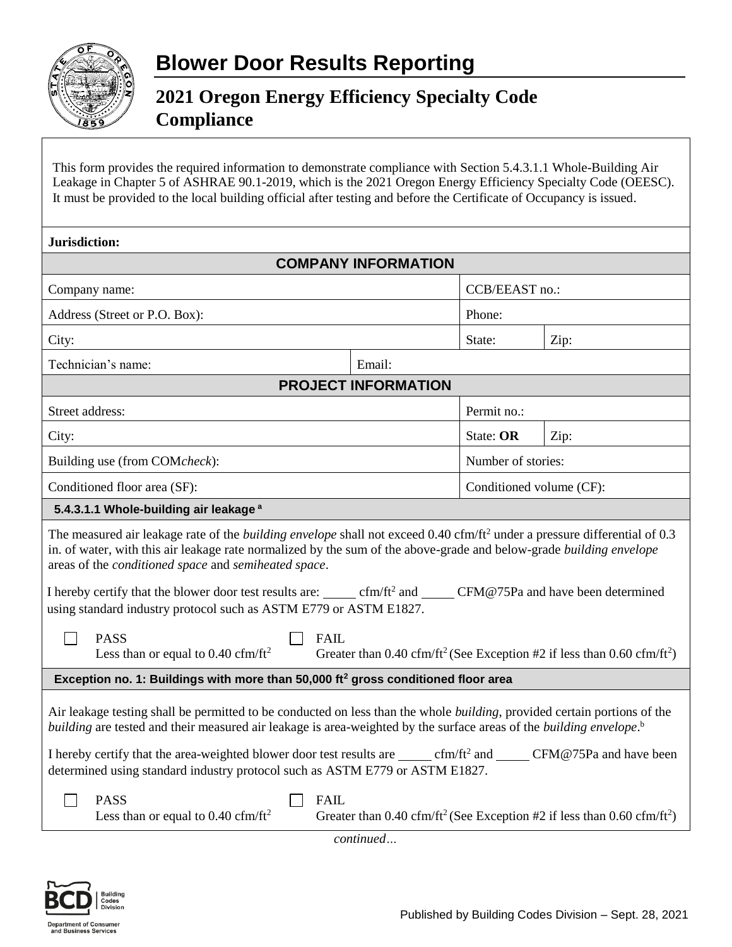

## **2021 Oregon Energy Efficiency Specialty Code Compliance**

This form provides the required information to demonstrate compliance with Section 5.4.3.1.1 Whole-Building Air Leakage in Chapter 5 of ASHRAE 90.1-2019, which is the 2021 Oregon Energy Efficiency Specialty Code (OEESC). It must be provided to the local building official after testing and before the Certificate of Occupancy is issued.

| Jurisdiction:                                                                                                                                                                                                                                                                                                               |                                                                                                              |      |  |  |
|-----------------------------------------------------------------------------------------------------------------------------------------------------------------------------------------------------------------------------------------------------------------------------------------------------------------------------|--------------------------------------------------------------------------------------------------------------|------|--|--|
| <b>COMPANY INFORMATION</b>                                                                                                                                                                                                                                                                                                  |                                                                                                              |      |  |  |
| Company name:                                                                                                                                                                                                                                                                                                               | CCB/EEAST no.:                                                                                               |      |  |  |
| Address (Street or P.O. Box):                                                                                                                                                                                                                                                                                               | Phone:                                                                                                       |      |  |  |
| City:                                                                                                                                                                                                                                                                                                                       | State:                                                                                                       | Zip: |  |  |
| Technician's name:<br>Email:                                                                                                                                                                                                                                                                                                |                                                                                                              |      |  |  |
| <b>PROJECT INFORMATION</b>                                                                                                                                                                                                                                                                                                  |                                                                                                              |      |  |  |
| Street address:                                                                                                                                                                                                                                                                                                             | Permit no.:                                                                                                  |      |  |  |
| City:                                                                                                                                                                                                                                                                                                                       | State: OR                                                                                                    | Zip: |  |  |
| Building use (from COMcheck):<br>Number of stories:                                                                                                                                                                                                                                                                         |                                                                                                              |      |  |  |
| Conditioned floor area (SF):                                                                                                                                                                                                                                                                                                | Conditioned volume (CF):                                                                                     |      |  |  |
| 5.4.3.1.1 Whole-building air leakage <sup>a</sup>                                                                                                                                                                                                                                                                           |                                                                                                              |      |  |  |
| The measured air leakage rate of the <i>building envelope</i> shall not exceed 0.40 cfm/ft <sup>2</sup> under a pressure differential of 0.3<br>in. of water, with this air leakage rate normalized by the sum of the above-grade and below-grade building envelope<br>areas of the conditioned space and semiheated space. |                                                                                                              |      |  |  |
| I hereby certify that the blower door test results are: ______ cfm/ft <sup>2</sup> and _____ CFM@75Pa and have been determined<br>using standard industry protocol such as ASTM E779 or ASTM E1827.                                                                                                                         |                                                                                                              |      |  |  |
| <b>PASS</b><br><b>FAIL</b><br>Less than or equal to $0.40 \text{ cfm/ft}^2$<br>Greater than 0.40 cfm/ft <sup>2</sup> (See Exception #2 if less than 0.60 cfm/ft <sup>2</sup> )                                                                                                                                              |                                                                                                              |      |  |  |
| Exception no. 1: Buildings with more than 50,000 ft <sup>2</sup> gross conditioned floor area                                                                                                                                                                                                                               |                                                                                                              |      |  |  |
| Air leakage testing shall be permitted to be conducted on less than the whole building, provided certain portions of the<br>building are tested and their measured air leakage is area-weighted by the surface areas of the building envelope. <sup>b</sup>                                                                 |                                                                                                              |      |  |  |
| I hereby certify that the area-weighted blower door test results are ______ cfm/ft <sup>2</sup> and _____ CFM@75Pa and have been<br>determined using standard industry protocol such as ASTM E779 or ASTM E1827.                                                                                                            |                                                                                                              |      |  |  |
| <b>PASS</b><br><b>FAIL</b><br>Less than or equal to $0.40 \text{ cfm/ft}^2$                                                                                                                                                                                                                                                 | Greater than 0.40 cfm/ft <sup>2</sup> (See Exception #2 if less than 0.60 cfm/ft <sup>2</sup> )<br>continued |      |  |  |